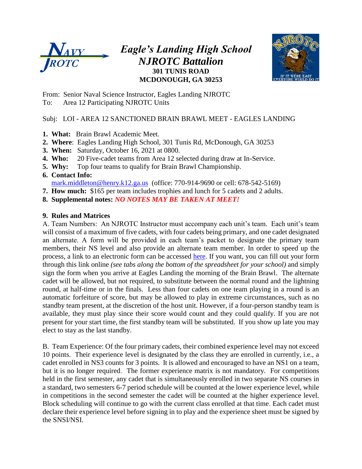

### *Eagle's Landing High School NJROTC Battalion* **301 TUNIS ROAD MCDONOUGH, GA 30253**



From: Senior Naval Science Instructor, Eagles Landing NJROTC To: Area 12 Participating NJROTC Units

### Subj: LOI - AREA 12 SANCTIONED BRAIN BRAWL MEET - EAGLES LANDING

- **1. What:** Brain Brawl Academic Meet.
- **2. Where**: Eagles Landing High School, 301 Tunis Rd, McDonough, GA 30253
- **3. When:** Saturday, October 16, 2021 at 0800.
- **4. Who:** 20 Five-cadet teams from Area 12 selected during draw at In-Service.
- **5. Why:** Top four teams to qualify for Brain Brawl Championship.
- **6. Contact Info:** [mark.middleton@henry.k12.ga.us](mailto:mark.middleton@henry.k12.ga.us) (office: 770-914-9690 or cell: 678-542-5169)
- **7. How much:** \$165 per team includes trophies and lunch for 5 cadets and 2 adults.
- **8. Supplemental notes:** *NO NOTES MAY BE TAKEN AT MEET!*

#### **9. Rules and Matrices**

A. Team Numbers: An NJROTC Instructor must accompany each unit's team. Each unit's team will consist of a maximum of five cadets, with four cadets being primary, and one cadet designated an alternate. A form will be provided in each team's packet to designate the primary team members, their NS level and also provide an alternate team member. In order to speed up the process, a link to an electronic form can be accessed [here.](https://docs.google.com/spreadsheets/d/1W-gARgwJQsGk9t10J0lK7T9F6xvHNYzi8dNuFYQPYEM/edit?usp=sharing) If you want, you can fill out your form through this link online *(see tabs along the bottom of the spreadsheet for your school)* and simply sign the form when you arrive at Eagles Landing the morning of the Brain Brawl. The alternate cadet will be allowed, but not required, to substitute between the normal round and the lightning round, at half-time or in the finals. Less than four cadets on one team playing in a round is an automatic forfeiture of score, but may be allowed to play in extreme circumstances, such as no standby team present, at the discretion of the host unit. However, if a four-person standby team is available, they must play since their score would count and they could qualify. If you are not present for your start time, the first standby team will be substituted. If you show up late you may elect to stay as the last standby.

B. Team Experience: Of the four primary cadets, their combined experience level may not exceed 10 points. Their experience level is designated by the class they are enrolled in currently, i.e., a cadet enrolled in NS3 counts for 3 points. It is allowed and encouraged to have an NS1 on a team, but it is no longer required. The former experience matrix is not mandatory. For competitions held in the first semester, any cadet that is simultaneously enrolled in two separate NS courses in a standard, two semesters 6-7 period schedule will be counted at the lower experience level, while in competitions in the second semester the cadet will be counted at the higher experience level. Block scheduling will continue to go with the current class enrolled at that time. Each cadet must declare their experience level before signing in to play and the experience sheet must be signed by the SNSI/NSI.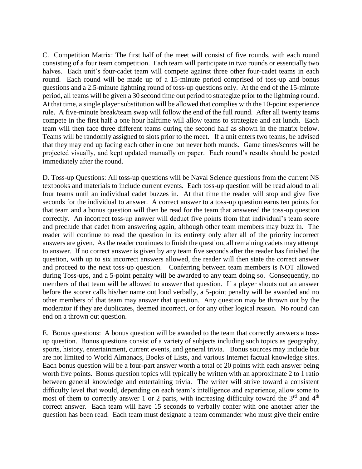C. Competition Matrix: The first half of the meet will consist of five rounds, with each round consisting of a four team competition. Each team will participate in two rounds or essentially two halves. Each unit's four-cadet team will compete against three other four-cadet teams in each round. Each round will be made up of a 15-minute period comprised of toss-up and bonus questions and a 2.5-minute lightning round of toss-up questions only. At the end of the 15-minute period, all teams will be given a 30 second time out period to strategize prior to the lightning round. At that time, a single player substitution will be allowed that complies with the 10-point experience rule. A five-minute break/team swap will follow the end of the full round. After all twenty teams compete in the first half a one hour halftime will allow teams to strategize and eat lunch. Each team will then face three different teams during the second half as shown in the matrix below. Teams will be randomly assigned to slots prior to the meet. If a unit enters two teams, be advised that they may end up facing each other in one but never both rounds. Game times/scores will be projected visually, and kept updated manually on paper. Each round's results should be posted immediately after the round.

D. Toss-up Questions: All toss-up questions will be Naval Science questions from the current NS textbooks and materials to include current events. Each toss-up question will be read aloud to all four teams until an individual cadet buzzes in. At that time the reader will stop and give five seconds for the individual to answer. A correct answer to a toss-up question earns ten points for that team and a bonus question will then be read for the team that answered the toss-up question correctly. An incorrect toss-up answer will deduct five points from that individual's team score and preclude that cadet from answering again, although other team members may buzz in. The reader will continue to read the question in its entirety only after all of the priority incorrect answers are given. As the reader continues to finish the question, all remaining cadets may attempt to answer. If no correct answer is given by any team five seconds after the reader has finished the question, with up to six incorrect answers allowed, the reader will then state the correct answer and proceed to the next toss-up question. Conferring between team members is NOT allowed during Toss-ups, and a 5-point penalty will be awarded to any team doing so. Consequently, no members of that team will be allowed to answer that question. If a player shouts out an answer before the scorer calls his/her name out loud verbally, a 5-point penalty will be awarded and no other members of that team may answer that question. Any question may be thrown out by the moderator if they are duplicates, deemed incorrect, or for any other logical reason. No round can end on a thrown out question.

E. Bonus questions: A bonus question will be awarded to the team that correctly answers a tossup question. Bonus questions consist of a variety of subjects including such topics as geography, sports, history, entertainment, current events, and general trivia. Bonus sources may include but are not limited to World Almanacs, Books of Lists, and various Internet factual knowledge sites. Each bonus question will be a four-part answer worth a total of 20 points with each answer being worth five points. Bonus question topics will typically be written with an approximate 2 to 1 ratio between general knowledge and entertaining trivia. The writer will strive toward a consistent difficulty level that would, depending on each team's intelligence and experience, allow some to most of them to correctly answer 1 or 2 parts, with increasing difficulty toward the  $3<sup>rd</sup>$  and  $4<sup>th</sup>$ correct answer. Each team will have 15 seconds to verbally confer with one another after the question has been read. Each team must designate a team commander who must give their entire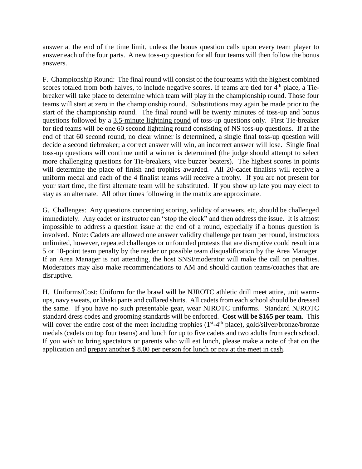answer at the end of the time limit, unless the bonus question calls upon every team player to answer each of the four parts. A new toss-up question for all four teams will then follow the bonus answers.

F. Championship Round: The final round will consist of the four teams with the highest combined scores totaled from both halves, to include negative scores. If teams are tied for 4<sup>th</sup> place, a Tiebreaker will take place to determine which team will play in the championship round. Those four teams will start at zero in the championship round. Substitutions may again be made prior to the start of the championship round. The final round will be twenty minutes of toss-up and bonus questions followed by a 3.5-minute lightning round of toss-up questions only. First Tie-breaker for tied teams will be one 60 second lightning round consisting of NS toss-up questions. If at the end of that 60 second round, no clear winner is determined, a single final toss-up question will decide a second tiebreaker; a correct answer will win, an incorrect answer will lose. Single final toss-up questions will continue until a winner is determined (the judge should attempt to select more challenging questions for Tie-breakers, vice buzzer beaters). The highest scores in points will determine the place of finish and trophies awarded. All 20-cadet finalists will receive a uniform medal and each of the 4 finalist teams will receive a trophy. If you are not present for your start time, the first alternate team will be substituted. If you show up late you may elect to stay as an alternate. All other times following in the matrix are approximate.

G. Challenges: Any questions concerning scoring, validity of answers, etc, should be challenged immediately. Any cadet or instructor can "stop the clock" and then address the issue. It is almost impossible to address a question issue at the end of a round, especially if a bonus question is involved. Note: Cadets are allowed one answer validity challenge per team per round, instructors unlimited, however, repeated challenges or unfounded protests that are disruptive could result in a 5 or 10-point team penalty by the reader or possible team disqualification by the Area Manager. If an Area Manager is not attending, the host SNSI/moderator will make the call on penalties. Moderators may also make recommendations to AM and should caution teams/coaches that are disruptive.

H. Uniforms/Cost: Uniform for the brawl will be NJROTC athletic drill meet attire, unit warmups, navy sweats, or khaki pants and collared shirts. All cadets from each school should be dressed the same. If you have no such presentable gear, wear NJROTC uniforms. Standard NJROTC standard dress codes and grooming standards will be enforced. **Cost will be \$165 per team**. This will cover the entire cost of the meet including trophies  $(1<sup>st</sup>-4<sup>th</sup>$  place), gold/silver/bronze/bronze medals (cadets on top four teams) and lunch for up to five cadets and two adults from each school. If you wish to bring spectators or parents who will eat lunch, please make a note of that on the application and prepay another \$ 8.00 per person for lunch or pay at the meet in cash.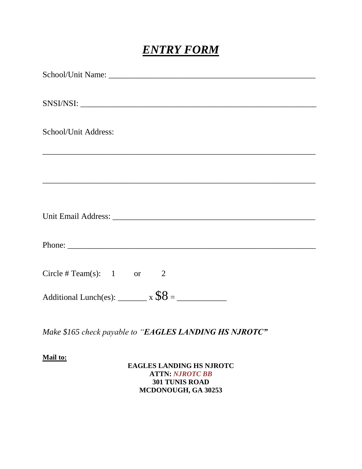# *ENTRY FORM*

| School/Unit Address:                                                             |
|----------------------------------------------------------------------------------|
|                                                                                  |
| ,我们也不会有什么。""我们的人,我们也不会有什么?""我们的人,我们也不会有什么?""我们的人,我们也不会有什么?""我们的人,我们也不会有什么?""我们的人 |
|                                                                                  |
| <u> 1999 - Johann John Stone, Amerikaansk politiker (d. 1989)</u>                |
|                                                                                  |
|                                                                                  |
|                                                                                  |
|                                                                                  |
|                                                                                  |
| Circle # Team(s): $1$ or $2$                                                     |
|                                                                                  |
| Additional Lunch(es): $\frac{x}{88} =$                                           |

*Make \$165 check payable to "EAGLES LANDING HS NJROTC"*

### **Mail to:**

### **EAGLES LANDING HS NJROTC ATTN:** *NJROTC BB* **301 TUNIS ROAD MCDONOUGH, GA 30253**